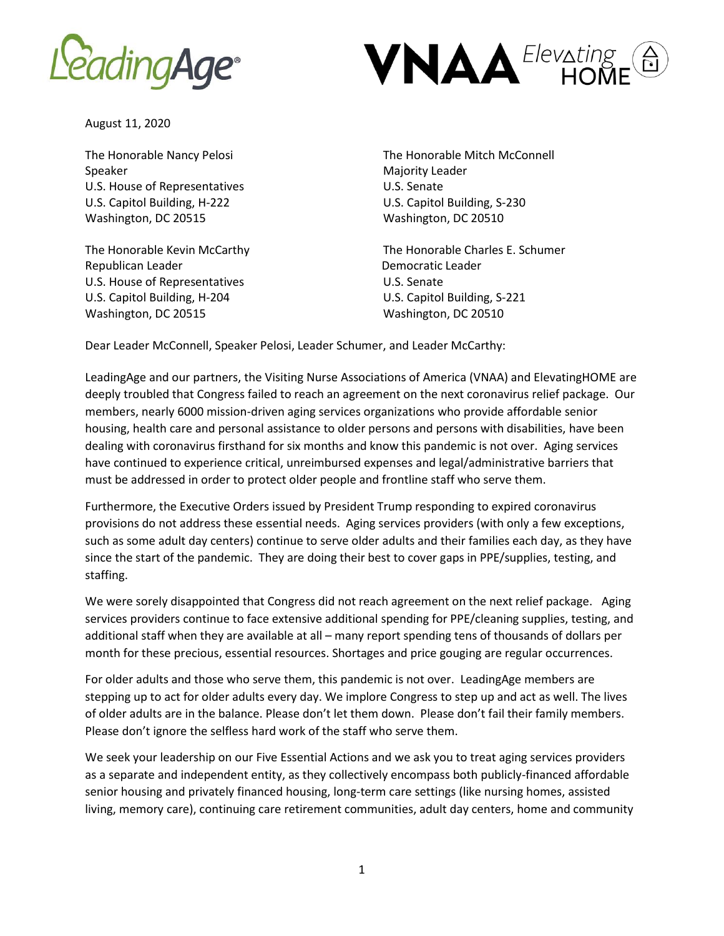



August 11, 2020

Speaker Majority Leader Majority Leader U.S. House of Representatives U.S. Senate U.S. Capitol Building, H-222 U.S. Capitol Building, S-230 Washington, DC 20515 Washington, DC 20510

Republican Leader **Democratic Leader** Democratic Leader U.S. House of Representatives U.S. Senate U.S. Capitol Building, H-204 U.S. Capitol Building, S-221 Washington, DC 20515 Washington, DC 20510

The Honorable Nancy Pelosi The Honorable Mitch McConnell

The Honorable Kevin McCarthy The Honorable Charles E. Schumer

Dear Leader McConnell, Speaker Pelosi, Leader Schumer, and Leader McCarthy:

LeadingAge and our partners, the Visiting Nurse Associations of America (VNAA) and ElevatingHOME are deeply troubled that Congress failed to reach an agreement on the next coronavirus relief package. Our members, nearly 6000 mission-driven aging services organizations who provide affordable senior housing, health care and personal assistance to older persons and persons with disabilities, have been dealing with coronavirus firsthand for six months and know this pandemic is not over. Aging services have continued to experience critical, unreimbursed expenses and legal/administrative barriers that must be addressed in order to protect older people and frontline staff who serve them.

Furthermore, the Executive Orders issued by President Trump responding to expired coronavirus provisions do not address these essential needs. Aging services providers (with only a few exceptions, such as some adult day centers) continue to serve older adults and their families each day, as they have since the start of the pandemic. They are doing their best to cover gaps in PPE/supplies, testing, and staffing.

We were sorely disappointed that Congress did not reach agreement on the next relief package. Aging services providers continue to face extensive additional spending for PPE/cleaning supplies, testing, and additional staff when they are available at all – many report spending tens of thousands of dollars per month for these precious, essential resources. Shortages and price gouging are regular occurrences.

For older adults and those who serve them, this pandemic is not over. LeadingAge members are stepping up to act for older adults every day. We implore Congress to step up and act as well. The lives of older adults are in the balance. Please don't let them down. Please don't fail their family members. Please don't ignore the selfless hard work of the staff who serve them.

We seek your leadership on our Five Essential Actions and we ask you to treat aging services providers as a separate and independent entity, as they collectively encompass both publicly-financed affordable senior housing and privately financed housing, long-term care settings (like nursing homes, assisted living, memory care), continuing care retirement communities, adult day centers, home and community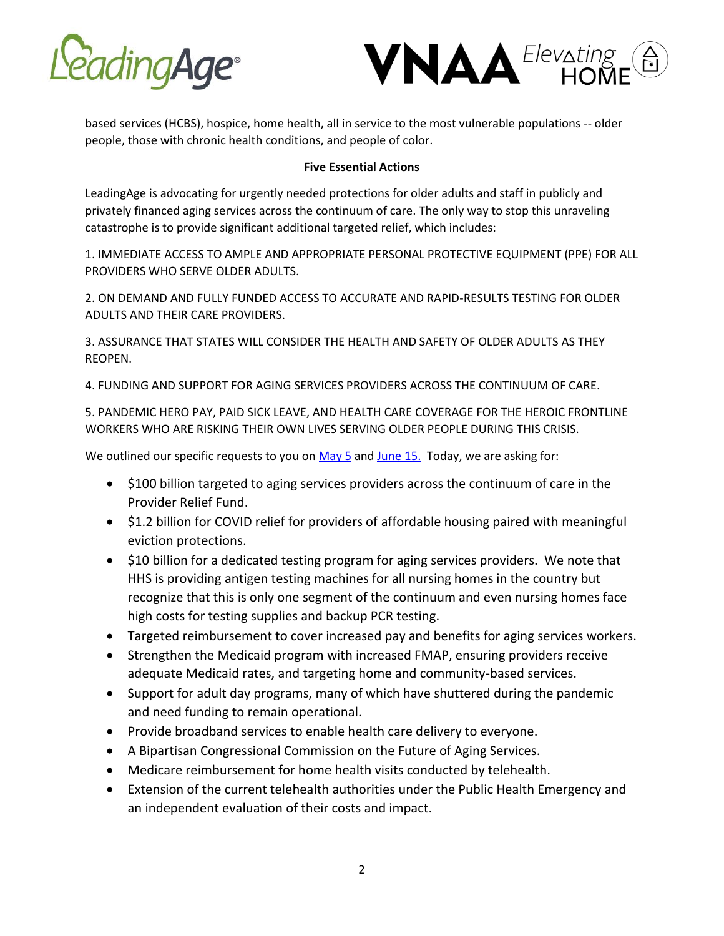



based services (HCBS), hospice, home health, all in service to the most vulnerable populations -- older people, those with chronic health conditions, and people of color.

## **Five Essential Actions**

LeadingAge is advocating for urgently needed protections for older adults and staff in publicly and privately financed aging services across the continuum of care. The only way to stop this unraveling catastrophe is to provide significant additional targeted relief, which includes:

1. IMMEDIATE ACCESS TO AMPLE AND APPROPRIATE PERSONAL PROTECTIVE EQUIPMENT (PPE) FOR ALL PROVIDERS WHO SERVE OLDER ADULTS.

2. ON DEMAND AND FULLY FUNDED ACCESS TO ACCURATE AND RAPID-RESULTS TESTING FOR OLDER ADULTS AND THEIR CARE PROVIDERS.

3. ASSURANCE THAT STATES WILL CONSIDER THE HEALTH AND SAFETY OF OLDER ADULTS AS THEY REOPEN.

4. FUNDING AND SUPPORT FOR AGING SERVICES PROVIDERS ACROSS THE CONTINUUM OF CARE.

5. PANDEMIC HERO PAY, PAID SICK LEAVE, AND HEALTH CARE COVERAGE FOR THE HEROIC FRONTLINE WORKERS WHO ARE RISKING THEIR OWN LIVES SERVING OLDER PEOPLE DURING THIS CRISIS.

We outlined our specific requests to you on  $May 5$  and [June 15.](https://www.leadingage.org/sites/default/files/LeadingAge%20June%20letter%20to%20Congress%206-15.pdf) Today, we are asking for:

- \$100 billion targeted to aging services providers across the continuum of care in the Provider Relief Fund.
- \$1.2 billion for COVID relief for providers of affordable housing paired with meaningful eviction protections.
- \$10 billion for a dedicated testing program for aging services providers. We note that HHS is providing antigen testing machines for all nursing homes in the country but recognize that this is only one segment of the continuum and even nursing homes face high costs for testing supplies and backup PCR testing.
- Targeted reimbursement to cover increased pay and benefits for aging services workers.
- Strengthen the Medicaid program with increased FMAP, ensuring providers receive adequate Medicaid rates, and targeting home and community-based services.
- Support for adult day programs, many of which have shuttered during the pandemic and need funding to remain operational.
- Provide broadband services to enable health care delivery to everyone.
- A Bipartisan Congressional Commission on the Future of Aging Services.
- Medicare reimbursement for home health visits conducted by telehealth.
- Extension of the current telehealth authorities under the Public Health Emergency and an independent evaluation of their costs and impact.